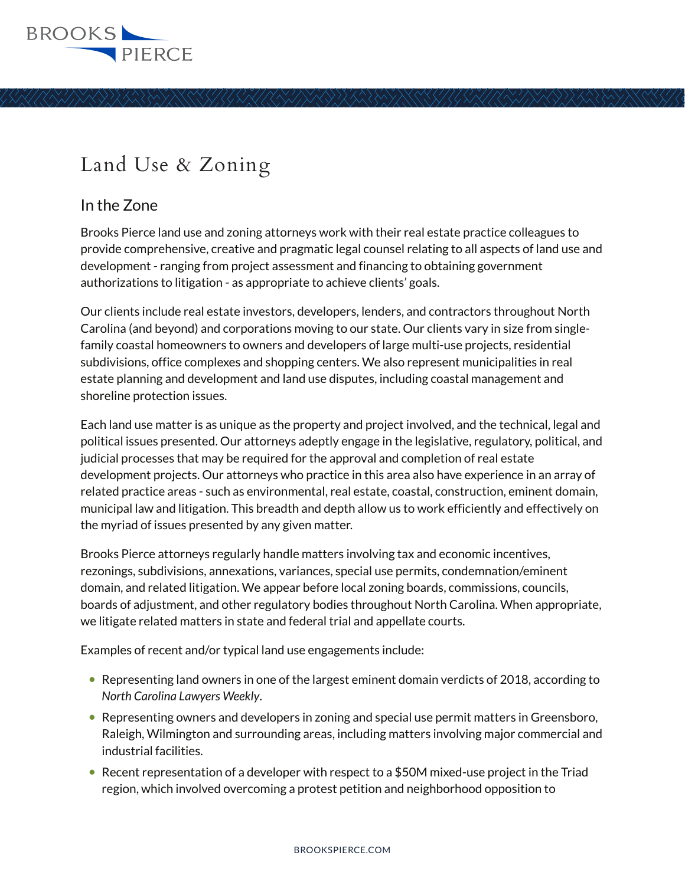

# Land Use & Zoning

## In the Zone

Brooks Pierce land use and zoning attorneys work with their real estate practice colleagues to provide comprehensive, creative and pragmatic legal counsel relating to all aspects of land use and development - ranging from project assessment and financing to obtaining government authorizations to litigation - as appropriate to achieve clients' goals.

Our clients include real estate investors, developers, lenders, and contractors throughout North Carolina (and beyond) and corporations moving to our state. Our clients vary in size from singlefamily coastal homeowners to owners and developers of large multi-use projects, residential subdivisions, office complexes and shopping centers. We also represent municipalities in real estate planning and development and land use disputes, including coastal management and shoreline protection issues.

Each land use matter is as unique as the property and project involved, and the technical, legal and political issues presented. Our attorneys adeptly engage in the legislative, regulatory, political, and judicial processes that may be required for the approval and completion of real estate development projects. Our attorneys who practice in this area also have experience in an array of related practice areas - such as environmental, real estate, coastal, construction, eminent domain, municipal law and litigation. This breadth and depth allow us to work efficiently and effectively on the myriad of issues presented by any given matter.

Brooks Pierce attorneys regularly handle matters involving tax and economic incentives, rezonings, subdivisions, annexations, variances, special use permits, condemnation/eminent domain, and related litigation. We appear before local zoning boards, commissions, councils, boards of adjustment, and other regulatory bodies throughout North Carolina. When appropriate, we litigate related matters in state and federal trial and appellate courts.

Examples of recent and/or typical land use engagements include:

- Representing land owners in one of the largest eminent domain verdicts of 2018, according to *North Carolina Lawyers Weekly*.
- Representing owners and developers in zoning and special use permit matters in Greensboro, Raleigh, Wilmington and surrounding areas, including matters involving major commercial and industrial facilities.
- $\bullet$  Recent representation of a developer with respect to a \$50M mixed-use project in the Triad region, which involved overcoming a protest petition and neighborhood opposition to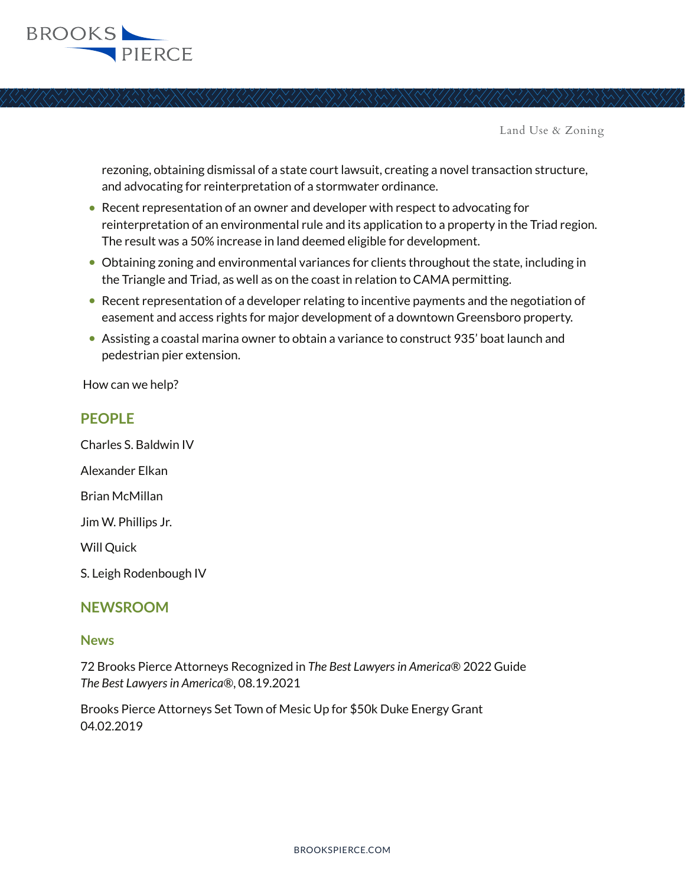

Land Use & Zoning

rezoning, obtaining dismissal of a state court lawsuit, creating a novel transaction structure, and advocating for reinterpretation of a stormwater ordinance.

- Recent representation of an owner and developer with respect to advocating for reinterpretation of an environmental rule and its application to a property in the Triad region. The result was a 50% increase in land deemed eligible for development.
- Obtaining zoning and environmental variances for clients throughout the state, including in the Triangle and Triad, as well as on the coast in relation to CAMA permitting.
- Recent representation of a developer relating to incentive payments and the negotiation of easement and access rights for major development of a downtown Greensboro property.
- Assisting a coastal marina owner to obtain a variance to construct 935' boat launch and pedestrian pier extension.

How can we help?

### **PEOPLE**

Charles S. Baldwin IV Alexander Elkan

Brian McMillan

Jim W. Phillips Jr.

Will Quick

S. Leigh Rodenbough IV

### **NEWSROOM**

#### **News**

72 Brooks Pierce Attorneys Recognized in *The Best Lawyers in America*® 2022 Guide *The Best Lawyers in America®*, 08.19.2021

Brooks Pierce Attorneys Set Town of Mesic Up for \$50k Duke Energy Grant 04.02.2019